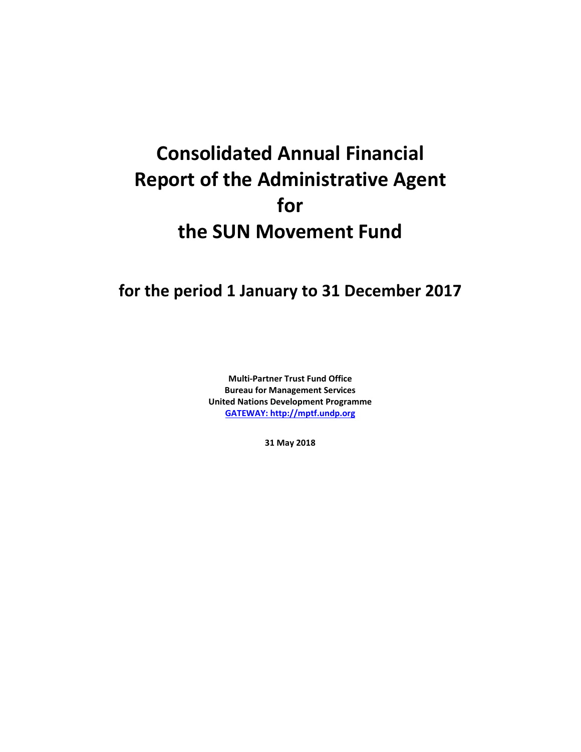# **Consolidated Annual Financial Report of the Administrative Agent for the SUN Movement Fund**

**for the period 1 January to 31 December 2017**

**Multi-Partner Trust Fund Office Bureau for Management Services United Nations Development Programme [GATEWAY: http://mptf.undp.org](http://mptf.undp.org/)**

**31 May 2018**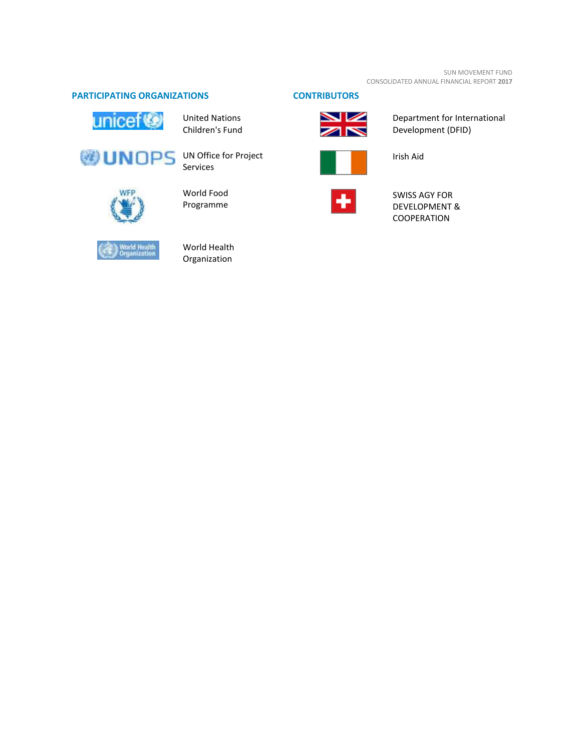# **PARTICIPATING ORGANIZATIONS CONTRIBUTORS**



United Nations Children's Fund



Services



# World Food Programme





Department for International Development (DFID)



Irish Aid



SWISS AGY FOR DEVELOPMENT & COOPERATION



World Health Organization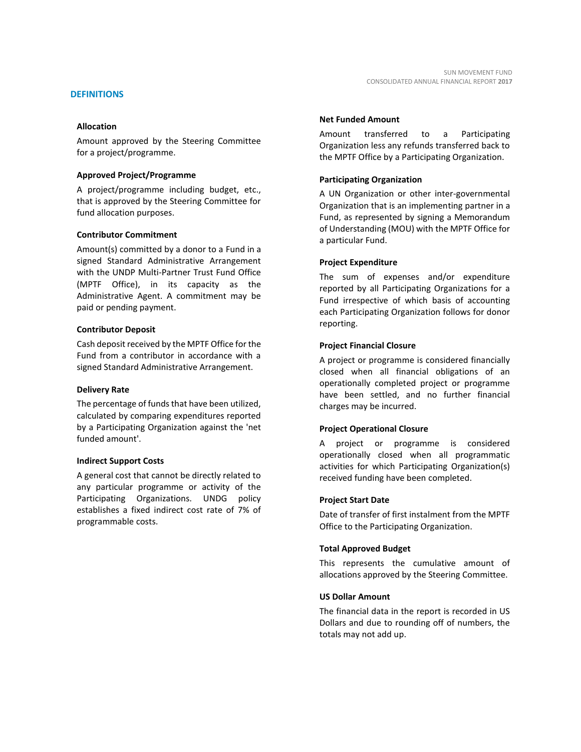Amount approved by the Steering Committee for a project/programme.

# **Approved Project/Programme**

A project/programme including budget, etc., that is approved by the Steering Committee for fund allocation purposes.

# **Contributor Commitment**

Amount(s) committed by a donor to a Fund in a signed Standard Administrative Arrangement with the UNDP Multi-Partner Trust Fund Office (MPTF Office), in its capacity as the Administrative Agent. A commitment may be paid or pending payment.

# **Contributor Deposit**

Cash deposit received by the MPTF Office for the Fund from a contributor in accordance with a signed Standard Administrative Arrangement.

# **Delivery Rate**

The percentage of funds that have been utilized, calculated by comparing expenditures reported by a Participating Organization against the 'net funded amount'.

# **Indirect Support Costs**

A general cost that cannot be directly related to any particular programme or activity of the Participating Organizations. UNDG policy establishes a fixed indirect cost rate of 7% of programmable costs.

# **Net Funded Amount**

Amount transferred to a Participating Organization less any refunds transferred back to the MPTF Office by a Participating Organization.

# **Participating Organization**

A UN Organization or other inter-governmental Organization that is an implementing partner in a Fund, as represented by signing a Memorandum of Understanding (MOU) with the MPTF Office for a particular Fund.

# **Project Expenditure**

The sum of expenses and/or expenditure reported by all Participating Organizations for a Fund irrespective of which basis of accounting each Participating Organization follows for donor reporting.

# **Project Financial Closure**

A project or programme is considered financially closed when all financial obligations of an operationally completed project or programme have been settled, and no further financial charges may be incurred.

# **Project Operational Closure**

A project or programme is considered operationally closed when all programmatic activities for which Participating Organization(s) received funding have been completed.

# **Project Start Date**

Date of transfer of first instalment from the MPTF Office to the Participating Organization.

# **Total Approved Budget**

This represents the cumulative amount of allocations approved by the Steering Committee.

#### **US Dollar Amount**

The financial data in the report is recorded in US Dollars and due to rounding off of numbers, the totals may not add up.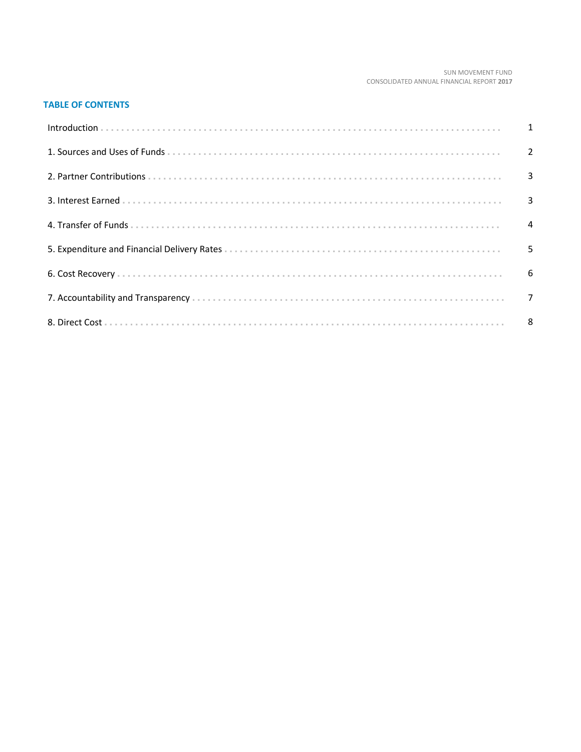#### SUN MOVEMENT FUND CONSOLIDATED ANNUAL FINANCIAL REPORT 2017

# **TABLE OF CONTENTS**

| Introduction 1 1 |   |
|------------------|---|
|                  |   |
|                  |   |
|                  |   |
|                  |   |
|                  | 5 |
|                  |   |
|                  |   |
|                  |   |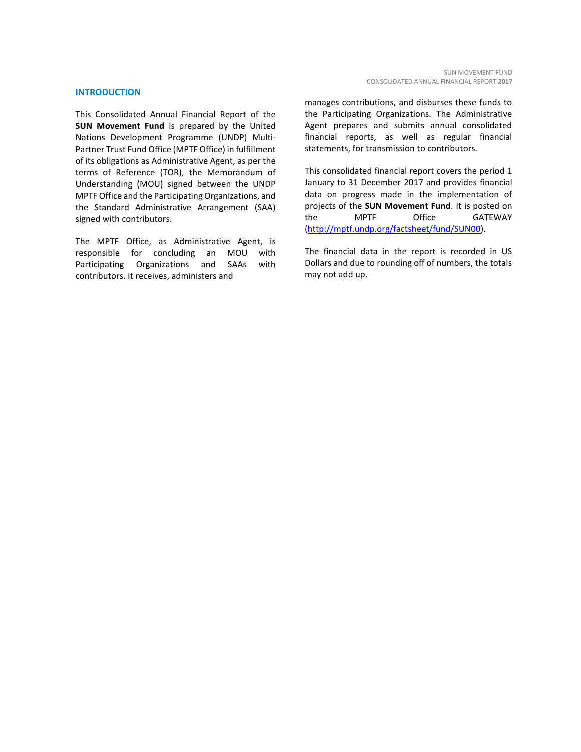#### **INTRODUCTION**

This Consolidated Annual Financial Report of the **SUN Movement Fund** is prepared by the United Nations Development Programme (UNDP) Multi-Partner Trust Fund Office (MPTF Office) in fulfillment of its obligations as Administrative Agent, as per the terms of Reference (TOR), the Memorandum of Understanding (MOU) signed between the UNDP MPTF Office and the Participating Organizations, and the Standard Administrative Arrangement (SAA) signed with contributors.

The MPTF Office, as Administrative Agent, is responsible for concluding an MOU with Participating Organizations and SAAs with contributors. It receives, administers and

manages contributions, and disburses these funds to the Participating Organizations. The Administrative Agent prepares and submits annual consolidated financial reports, as well as regular financial statements, for transmission to contributors.

This consolidated financial report covers the period 1 January to 31 December 2017 and provides financial data on progress made in the implementation of projects of the **SUN Movement Fund**. It is posted on the MPTF Office GATEWAY [\(http://mptf.undp.org/factsheet/fund/SUN00\)](http://mptf.undp.org/factsheet/fund/SUN00).

The financial data in the report is recorded in US Dollars and due to rounding off of numbers, the totals may not add up.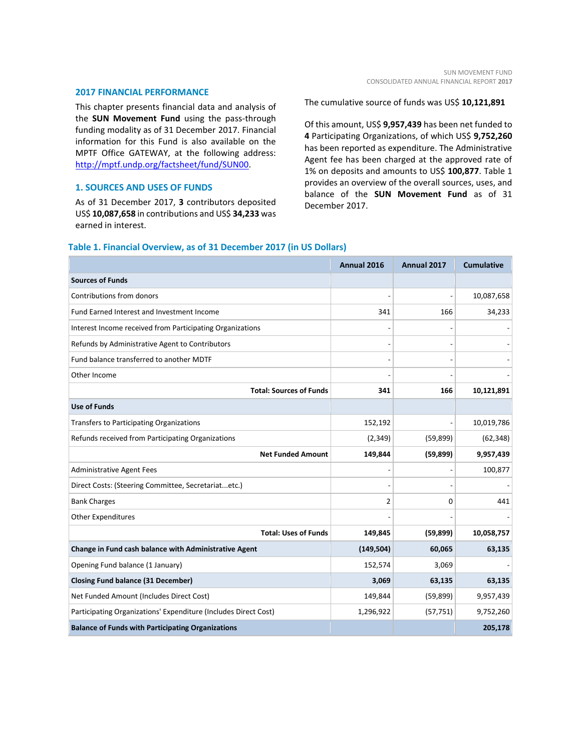#### **2017 FINANCIAL PERFORMANCE**

This chapter presents financial data and analysis of the **SUN Movement Fund** using the pass-through funding modality as of 31 December 2017. Financial information for this Fund is also available on the MPTF Office GATEWAY, at the following address: [http://mptf.undp.org/factsheet/fund/SUN00.](http://mptf.undp.org/factsheet/fund/SUN00)

# **1. SOURCES AND USES OF FUNDS**

As of 31 December 2017, **3** contributors deposited US\$ **10,087,658** in contributions and US\$ **34,233** was earned in interest.

The cumulative source of funds was US\$ **10,121,891**

Of this amount, US\$ **9,957,439** has been net funded to **4** Participating Organizations, of which US\$ **9,752,260** has been reported as expenditure. The Administrative Agent fee has been charged at the approved rate of 1% on deposits and amounts to US\$ **100,877**. Table 1 provides an overview of the overall sources, uses, and balance of the **SUN Movement Fund** as of 31 December 2017.

# **Table 1. Financial Overview, as of 31 December 2017 (in US Dollars)**

|                                                                 | Annual 2016 | Annual 2017 | <b>Cumulative</b> |
|-----------------------------------------------------------------|-------------|-------------|-------------------|
| <b>Sources of Funds</b>                                         |             |             |                   |
| Contributions from donors                                       |             |             | 10,087,658        |
| Fund Earned Interest and Investment Income                      | 341         | 166         | 34,233            |
| Interest Income received from Participating Organizations       |             |             |                   |
| Refunds by Administrative Agent to Contributors                 |             |             |                   |
| Fund balance transferred to another MDTF                        |             |             |                   |
| Other Income                                                    |             |             |                   |
| <b>Total: Sources of Funds</b>                                  | 341         | 166         | 10,121,891        |
| <b>Use of Funds</b>                                             |             |             |                   |
| <b>Transfers to Participating Organizations</b>                 | 152,192     |             | 10,019,786        |
| Refunds received from Participating Organizations               | (2, 349)    | (59, 899)   | (62, 348)         |
| <b>Net Funded Amount</b>                                        | 149,844     | (59, 899)   | 9,957,439         |
| <b>Administrative Agent Fees</b>                                |             |             | 100,877           |
| Direct Costs: (Steering Committee, Secretariatetc.)             |             |             |                   |
| <b>Bank Charges</b>                                             | 2           | 0           | 441               |
| <b>Other Expenditures</b>                                       |             |             |                   |
| <b>Total: Uses of Funds</b>                                     | 149,845     | (59, 899)   | 10,058,757        |
| Change in Fund cash balance with Administrative Agent           | (149, 504)  | 60,065      | 63,135            |
| Opening Fund balance (1 January)                                | 152,574     | 3,069       |                   |
| <b>Closing Fund balance (31 December)</b>                       | 3,069       | 63,135      | 63,135            |
| Net Funded Amount (Includes Direct Cost)                        | 149,844     | (59, 899)   | 9,957,439         |
| Participating Organizations' Expenditure (Includes Direct Cost) | 1,296,922   | (57, 751)   | 9,752,260         |
| <b>Balance of Funds with Participating Organizations</b>        |             |             | 205,178           |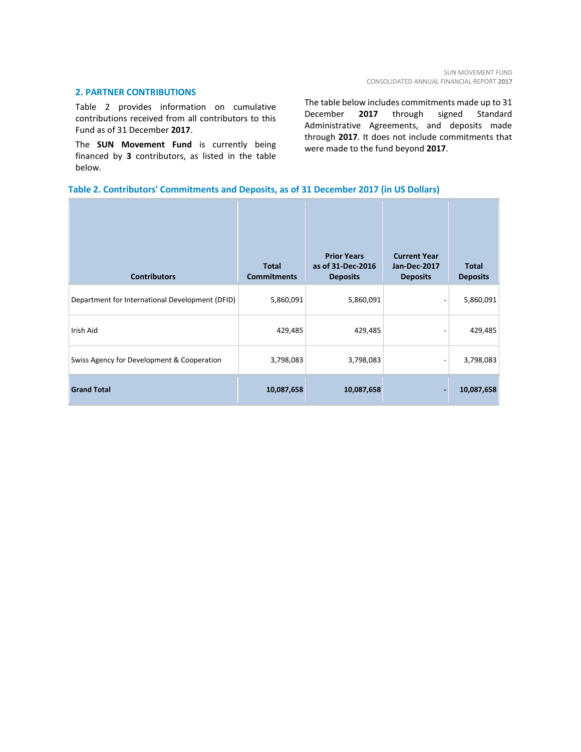# **2. PARTNER CONTRIBUTIONS**

Table 2 provides information on cumulative contributions received from all contributors to this Fund as of 31 December **2017**.

The **SUN Movement Fund** is currently being financed by **3** contributors, as listed in the table below.

The table below includes commitments made up to 31 December **2017** through signed Standard Administrative Agreements, and deposits made through **2017**. It does not include commitments that were made to the fund beyond **2017**.

# **Table 2. Contributors' Commitments and Deposits, as of 31 December 2017 (in US Dollars)**

| <b>Contributors</b>                             | <b>Total</b><br><b>Commitments</b> | <b>Prior Years</b><br>as of 31-Dec-2016<br><b>Deposits</b> | <b>Current Year</b><br><b>Jan-Dec-2017</b><br><b>Deposits</b> | <b>Total</b><br><b>Deposits</b> |
|-------------------------------------------------|------------------------------------|------------------------------------------------------------|---------------------------------------------------------------|---------------------------------|
| Department for International Development (DFID) | 5,860,091                          | 5,860,091                                                  |                                                               | 5,860,091                       |
| Irish Aid                                       | 429,485                            | 429,485                                                    |                                                               | 429,485                         |
| Swiss Agency for Development & Cooperation      | 3,798,083                          | 3,798,083                                                  |                                                               | 3,798,083                       |
| <b>Grand Total</b>                              | 10,087,658                         | 10,087,658                                                 |                                                               | 10,087,658                      |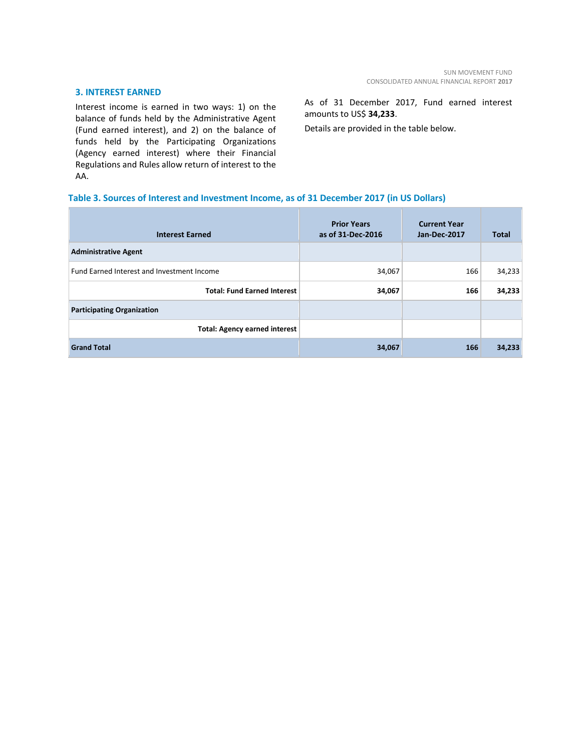# **3. INTEREST EARNED**

Interest income is earned in two ways: 1) on the balance of funds held by the Administrative Agent (Fund earned interest), and 2) on the balance of funds held by the Participating Organizations (Agency earned interest) where their Financial Regulations and Rules allow return of interest to the AA.

As of 31 December 2017, Fund earned interest amounts to US\$ **34,233**.

Details are provided in the table below.

# **Table 3. Sources of Interest and Investment Income, as of 31 December 2017 (in US Dollars)**

| <b>Interest Earned</b>                            | <b>Prior Years</b><br>as of 31-Dec-2016 | <b>Current Year</b><br>Jan-Dec-2017 | <b>Total</b> |
|---------------------------------------------------|-----------------------------------------|-------------------------------------|--------------|
| <b>Administrative Agent</b>                       |                                         |                                     |              |
| <b>Fund Earned Interest and Investment Income</b> | 34,067                                  | 166                                 | 34,233       |
| <b>Total: Fund Earned Interest</b>                | 34,067                                  | 166                                 | 34,233       |
| <b>Participating Organization</b>                 |                                         |                                     |              |
| <b>Total: Agency earned interest</b>              |                                         |                                     |              |
| <b>Grand Total</b>                                | 34,067                                  | 166                                 | 34,233       |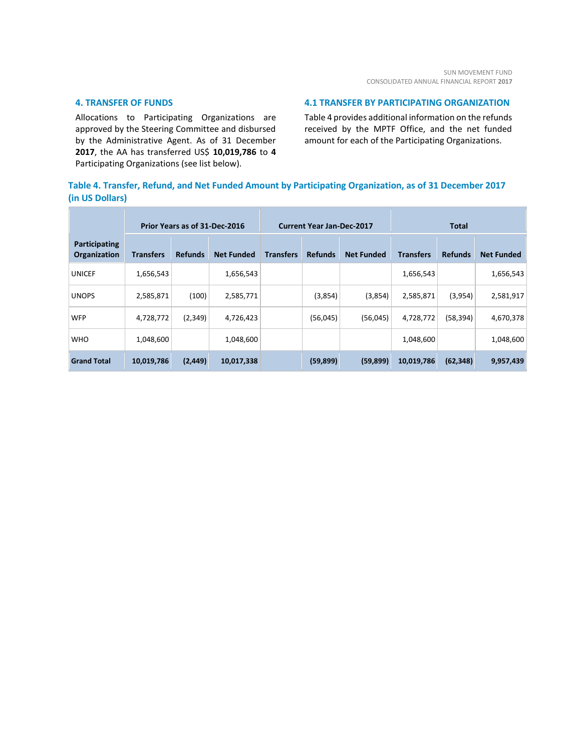# **4. TRANSFER OF FUNDS**

Allocations to Participating Organizations are approved by the Steering Committee and disbursed by the Administrative Agent. As of 31 December **2017**, the AA has transferred US\$ **10,019,786** to **4** Participating Organizations (see list below).

# **4.1 TRANSFER BY PARTICIPATING ORGANIZATION**

Table 4 provides additional information on the refunds received by the MPTF Office, and the net funded amount for each of the Participating Organizations.

# **Table 4. Transfer, Refund, and Net Funded Amount by Participating Organization, as of 31 December 2017 (in US Dollars)**

|                               |                  | Prior Years as of 31-Dec-2016 |                   | <b>Current Year Jan-Dec-2017</b> |                |                   | Total            |                |                   |  |
|-------------------------------|------------------|-------------------------------|-------------------|----------------------------------|----------------|-------------------|------------------|----------------|-------------------|--|
| Participating<br>Organization | <b>Transfers</b> | <b>Refunds</b>                | <b>Net Funded</b> | <b>Transfers</b>                 | <b>Refunds</b> | <b>Net Funded</b> | <b>Transfers</b> | <b>Refunds</b> | <b>Net Funded</b> |  |
| <b>UNICEF</b>                 | 1,656,543        |                               | 1,656,543         |                                  |                |                   | 1,656,543        |                | 1,656,543         |  |
| <b>UNOPS</b>                  | 2,585,871        | (100)                         | 2,585,771         |                                  | (3,854)        | (3,854)           | 2,585,871        | (3,954)        | 2,581,917         |  |
| <b>WFP</b>                    | 4,728,772        | (2,349)                       | 4,726,423         |                                  | (56,045)       | (56,045)          | 4,728,772        | (58,394)       | 4,670,378         |  |
| <b>WHO</b>                    | 1,048,600        |                               | 1,048,600         |                                  |                |                   | 1,048,600        |                | 1,048,600         |  |
| <b>Grand Total</b>            | 10,019,786       | (2, 449)                      | 10,017,338        |                                  | (59, 899)      | (59, 899)         | 10,019,786       | (62, 348)      | 9,957,439         |  |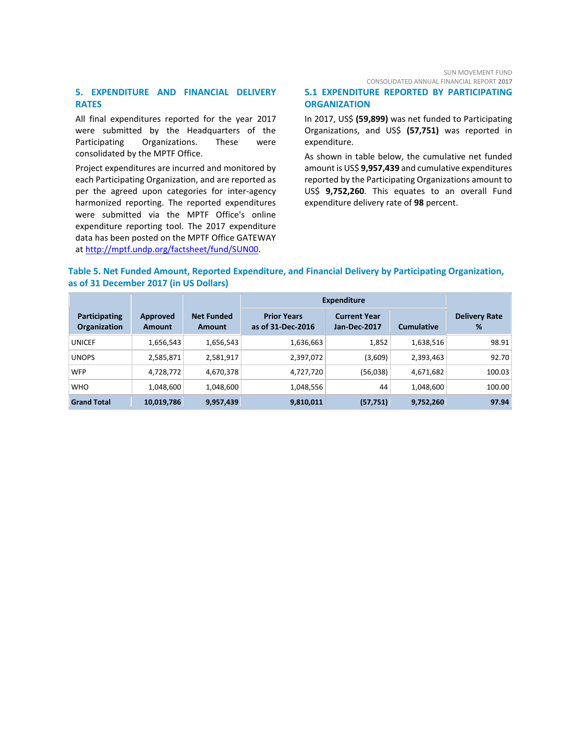# **5. EXPENDITURE AND FINANCIAL DELIVERY RATES**

All final expenditures reported for the year 2017 were submitted by the Headquarters of the Participating Organizations. These were consolidated by the MPTF Office.

Project expenditures are incurred and monitored by each Participating Organization, and are reported as per the agreed upon categories for inter-agency harmonized reporting. The reported expenditures were submitted via the MPTF Office's online expenditure reporting tool. The 2017 expenditure data has been posted on the MPTF Office GATEWAY at [http://mptf.undp.org/factsheet/fund/SUN00.](http://mptf.undp.org/factsheet/fund/SUN00)

#### SUN MOVEMENT FUND CONSOLIDATED ANNUAL FINANCIAL REPORT **2017**

# **5.1 EXPENDITURE REPORTED BY PARTICIPATING ORGANIZATION**

In 2017, US\$ **(59,899)** was net funded to Participating Organizations, and US\$ **(57,751)** was reported in expenditure.

As shown in table below, the cumulative net funded amount is US\$ **9,957,439** and cumulative expenditures reported by the Participating Organizations amount to US\$ **9,752,260**. This equates to an overall Fund expenditure delivery rate of **98** percent.

# **Table 5. Net Funded Amount, Reported Expenditure, and Financial Delivery by Participating Organization, as of 31 December 2017 (in US Dollars)**

|                                      |                           |                                    | <b>Expenditure</b>                      |                                     |                   |                           |
|--------------------------------------|---------------------------|------------------------------------|-----------------------------------------|-------------------------------------|-------------------|---------------------------|
| Participating<br><b>Organization</b> | Approved<br><b>Amount</b> | <b>Net Funded</b><br><b>Amount</b> | <b>Prior Years</b><br>as of 31-Dec-2016 | <b>Current Year</b><br>Jan-Dec-2017 | <b>Cumulative</b> | <b>Delivery Rate</b><br>% |
| <b>UNICEF</b>                        | 1,656,543                 | 1,656,543                          | 1,636,663                               | 1,852                               | 1,638,516         | 98.91                     |
| <b>UNOPS</b>                         | 2,585,871                 | 2,581,917                          | 2,397,072                               | (3,609)                             | 2,393,463         | 92.70                     |
| <b>WFP</b>                           | 4,728,772                 | 4,670,378                          | 4,727,720                               | (56,038)                            | 4,671,682         | 100.03                    |
| <b>WHO</b>                           | 1,048,600                 | 1,048,600                          | 1,048,556                               | 44                                  | 1,048,600         | 100.00                    |
| <b>Grand Total</b>                   | 10,019,786                | 9,957,439                          | 9,810,011                               | (57, 751)                           | 9,752,260         | 97.94                     |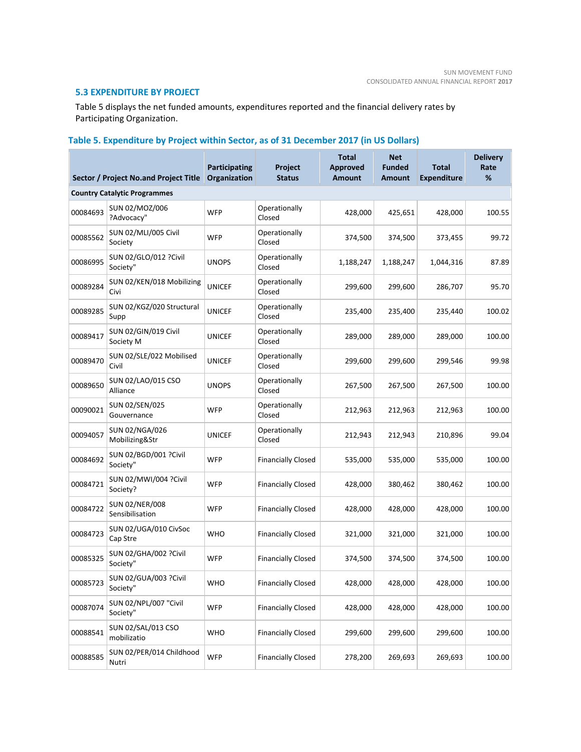# **5.3 EXPENDITURE BY PROJECT**

Table 5 displays the net funded amounts, expenditures reported and the financial delivery rates by Participating Organization.

# **Table 5. Expenditure by Project within Sector, as of 31 December 2017 (in US Dollars)**

|                                     | Sector / Project No.and Project Title | <b>Participating</b><br>Organization | Project<br><b>Status</b>  | <b>Total</b><br><b>Approved</b><br><b>Amount</b> | <b>Net</b><br><b>Funded</b><br><b>Amount</b> | <b>Total</b><br><b>Expenditure</b> | <b>Delivery</b><br>Rate<br>% |  |  |
|-------------------------------------|---------------------------------------|--------------------------------------|---------------------------|--------------------------------------------------|----------------------------------------------|------------------------------------|------------------------------|--|--|
| <b>Country Catalytic Programmes</b> |                                       |                                      |                           |                                                  |                                              |                                    |                              |  |  |
| 00084693                            | SUN 02/MOZ/006<br>?Advocacy"          | <b>WFP</b>                           | Operationally<br>Closed   | 428,000                                          | 425,651                                      | 428,000                            | 100.55                       |  |  |
| 00085562                            | SUN 02/MLI/005 Civil<br>Society       | <b>WFP</b>                           | Operationally<br>Closed   | 374,500                                          | 374,500                                      | 373,455                            | 99.72                        |  |  |
| 00086995                            | SUN 02/GLO/012 ?Civil<br>Society"     | <b>UNOPS</b>                         | Operationally<br>Closed   | 1,188,247                                        | 1,188,247                                    | 1,044,316                          | 87.89                        |  |  |
| 00089284                            | SUN 02/KEN/018 Mobilizing<br>Civi     | <b>UNICEF</b>                        | Operationally<br>Closed   | 299,600                                          | 299,600                                      | 286,707                            | 95.70                        |  |  |
| 00089285                            | SUN 02/KGZ/020 Structural<br>Supp     | <b>UNICEF</b>                        | Operationally<br>Closed   | 235,400                                          | 235,400                                      | 235,440                            | 100.02                       |  |  |
| 00089417                            | SUN 02/GIN/019 Civil<br>Society M     | <b>UNICEF</b>                        | Operationally<br>Closed   | 289,000                                          | 289,000                                      | 289,000                            | 100.00                       |  |  |
| 00089470                            | SUN 02/SLE/022 Mobilised<br>Civil     | <b>UNICEF</b>                        | Operationally<br>Closed   | 299,600                                          | 299,600                                      | 299,546                            | 99.98                        |  |  |
| 00089650                            | SUN 02/LAO/015 CSO<br>Alliance        | <b>UNOPS</b>                         | Operationally<br>Closed   | 267,500                                          | 267,500                                      | 267,500                            | 100.00                       |  |  |
| 00090021                            | SUN 02/SEN/025<br>Gouvernance         | WFP                                  | Operationally<br>Closed   | 212,963                                          | 212,963                                      | 212,963                            | 100.00                       |  |  |
| 00094057                            | SUN 02/NGA/026<br>Mobilizing&Str      | <b>UNICEF</b>                        | Operationally<br>Closed   | 212,943                                          | 212,943                                      | 210,896                            | 99.04                        |  |  |
| 00084692                            | SUN 02/BGD/001 ?Civil<br>Society"     | <b>WFP</b>                           | <b>Financially Closed</b> | 535,000                                          | 535,000                                      | 535,000                            | 100.00                       |  |  |
| 00084721                            | SUN 02/MWI/004 ?Civil<br>Society?     | WFP                                  | <b>Financially Closed</b> | 428,000                                          | 380,462                                      | 380,462                            | 100.00                       |  |  |
| 00084722                            | SUN 02/NER/008<br>Sensibilisation     | <b>WFP</b>                           | <b>Financially Closed</b> | 428,000                                          | 428,000                                      | 428,000                            | 100.00                       |  |  |
| 00084723                            | SUN 02/UGA/010 CivSoc<br>Cap Stre     | <b>WHO</b>                           | <b>Financially Closed</b> | 321,000                                          | 321,000                                      | 321,000                            | 100.00                       |  |  |
| 00085325                            | SUN 02/GHA/002 ?Civil<br>Society"     | WFP                                  | <b>Financially Closed</b> | 374,500                                          | 374,500                                      | 374,500                            | 100.00                       |  |  |
| 00085723                            | SUN 02/GUA/003 ?Civil<br>Society"     | <b>WHO</b>                           | <b>Financially Closed</b> | 428,000                                          | 428,000                                      | 428,000                            | 100.00                       |  |  |
| 00087074                            | SUN 02/NPL/007 "Civil<br>Society"     | <b>WFP</b>                           | <b>Financially Closed</b> | 428,000                                          | 428,000                                      | 428,000                            | 100.00                       |  |  |
| 00088541                            | SUN 02/SAL/013 CSO<br>mobilizatio     | <b>WHO</b>                           | <b>Financially Closed</b> | 299,600                                          | 299,600                                      | 299,600                            | 100.00                       |  |  |
| 00088585                            | SUN 02/PER/014 Childhood<br>Nutri     | <b>WFP</b>                           | <b>Financially Closed</b> | 278,200                                          | 269,693                                      | 269,693                            | 100.00                       |  |  |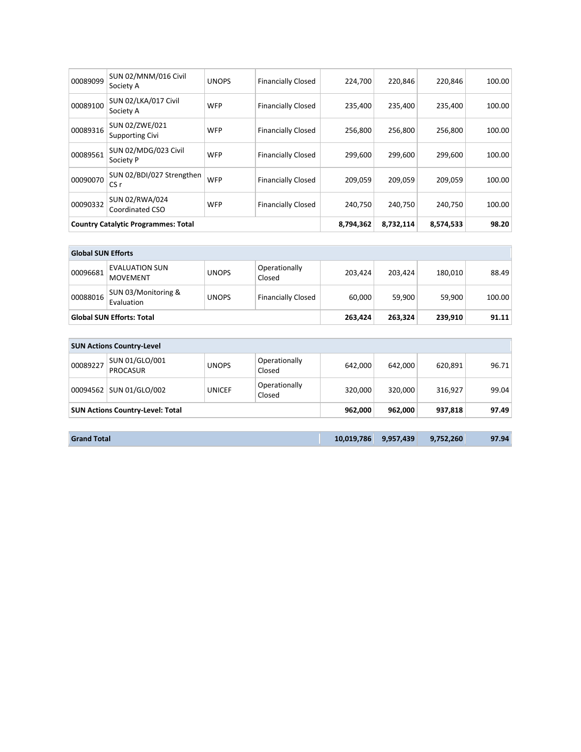| 00089099 | SUN 02/MNM/016 Civil<br>Society A          | <b>UNOPS</b> | <b>Financially Closed</b> | 224,700   | 220.846 | 220.846 | 100.00 |
|----------|--------------------------------------------|--------------|---------------------------|-----------|---------|---------|--------|
| 00089100 | SUN 02/LKA/017 Civil<br>Society A          | <b>WFP</b>   | <b>Financially Closed</b> | 235,400   | 235.400 | 235,400 | 100.00 |
| 00089316 | SUN 02/ZWE/021<br>Supporting Civi          | <b>WFP</b>   | <b>Financially Closed</b> | 256,800   | 256.800 | 256.800 | 100.00 |
| 00089561 | SUN 02/MDG/023 Civil<br>Society P          | <b>WFP</b>   | <b>Financially Closed</b> | 299,600   | 299.600 | 299,600 | 100.00 |
| 00090070 | SUN 02/BDI/027 Strengthen<br>CS r          | <b>WFP</b>   | <b>Financially Closed</b> | 209,059   | 209,059 | 209,059 | 100.00 |
| 00090332 | SUN 02/RWA/024<br>Coordinated CSO          | <b>WFP</b>   | <b>Financially Closed</b> | 240,750   | 240.750 | 240,750 | 100.00 |
|          | <b>Country Catalytic Programmes: Total</b> | 8,794,362    | 8,732,114                 | 8,574,533 | 98.20   |         |        |

| <b>Global SUN Efforts</b>        |                                          |              |                           |         |         |         |        |
|----------------------------------|------------------------------------------|--------------|---------------------------|---------|---------|---------|--------|
| 00096681                         | <b>EVALUATION SUN</b><br><b>MOVEMENT</b> | <b>UNOPS</b> | Operationally<br>Closed   | 203,424 | 203,424 | 180,010 | 88.49  |
| 00088016                         | SUN 03/Monitoring &<br>Evaluation        | <b>UNOPS</b> | <b>Financially Closed</b> | 60,000  | 59,900  | 59,900  | 100.00 |
| <b>Global SUN Efforts: Total</b> |                                          |              |                           | 263,424 | 263,324 | 239,910 | 91.11  |
|                                  |                                          |              |                           |         |         |         |        |
|                                  | <b>SUN Actions Country-Level</b>         |              |                           |         |         |         |        |

|          | $3011$ Actions country Lever            |               |                         |         |         |         |       |
|----------|-----------------------------------------|---------------|-------------------------|---------|---------|---------|-------|
| 00089227 | SUN 01/GLO/001<br>PROCASUR              | <b>UNOPS</b>  | Operationally<br>Closed | 642.000 | 642.000 | 620,891 | 96.71 |
|          | 00094562   SUN 01/GLO/002               | <b>UNICEF</b> | Operationally<br>Closed | 320.000 | 320.000 | 316,927 | 99.04 |
|          | <b>SUN Actions Country-Level: Total</b> |               |                         |         | 962.000 | 937,818 | 97.49 |

| 9,957,439<br>10.019.786<br>9.752.260<br>97.94<br><b>Grand Total</b> |
|---------------------------------------------------------------------|
|---------------------------------------------------------------------|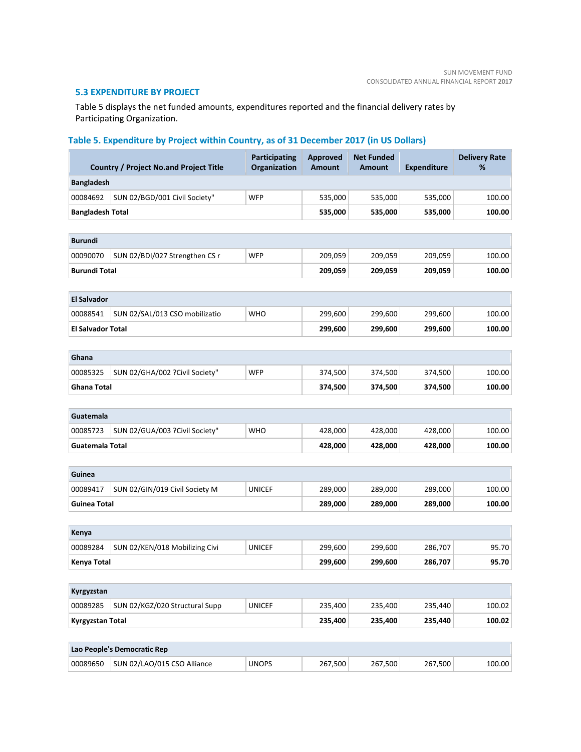# **5.3 EXPENDITURE BY PROJECT**

Table 5 displays the net funded amounts, expenditures reported and the financial delivery rates by Participating Organization.

# **Table 5. Expenditure by Project within Country, as of 31 December 2017 (in US Dollars)**

|                          | <b>Country / Project No.and Project Title</b> | <b>Participating</b><br>Organization | <b>Approved</b><br><b>Amount</b> | <b>Net Funded</b><br><b>Amount</b> | <b>Expenditure</b> | <b>Delivery Rate</b><br>% |
|--------------------------|-----------------------------------------------|--------------------------------------|----------------------------------|------------------------------------|--------------------|---------------------------|
| <b>Bangladesh</b>        |                                               |                                      |                                  |                                    |                    |                           |
| 00084692                 | SUN 02/BGD/001 Civil Society"                 | <b>WFP</b>                           | 535,000                          | 535,000                            | 535,000            | 100.00                    |
| <b>Bangladesh Total</b>  |                                               |                                      | 535,000                          | 535,000                            | 535,000            | 100.00                    |
|                          |                                               |                                      |                                  |                                    |                    |                           |
| <b>Burundi</b>           |                                               |                                      |                                  |                                    |                    |                           |
| 00090070                 | SUN 02/BDI/027 Strengthen CS r                | <b>WFP</b>                           | 209,059                          | 209,059                            | 209,059            | 100.00                    |
| <b>Burundi Total</b>     |                                               |                                      | 209,059                          | 209,059                            | 209,059            | 100.00                    |
|                          |                                               |                                      |                                  |                                    |                    |                           |
| <b>El Salvador</b>       |                                               |                                      |                                  |                                    |                    |                           |
| 00088541                 | SUN 02/SAL/013 CSO mobilizatio                | <b>WHO</b>                           | 299,600                          | 299,600                            | 299,600            | 100.00                    |
| <b>El Salvador Total</b> |                                               |                                      | 299,600                          | 299,600                            | 299,600            | 100.00                    |
|                          |                                               |                                      |                                  |                                    |                    |                           |
| Ghana                    |                                               |                                      |                                  |                                    |                    |                           |
| 00085325                 | SUN 02/GHA/002 ?Civil Society"                | <b>WFP</b>                           | 374,500                          | 374,500                            | 374,500            | 100.00                    |
| <b>Ghana Total</b>       |                                               |                                      | 374,500                          | 374,500                            | 374,500            | 100.00                    |
|                          |                                               |                                      |                                  |                                    |                    |                           |
| Guatemala                |                                               |                                      |                                  |                                    |                    |                           |
| 00085723                 | SUN 02/GUA/003 ?Civil Society"                | <b>WHO</b>                           | 428,000                          | 428,000                            | 428,000            | 100.00                    |
| <b>Guatemala Total</b>   |                                               |                                      | 428,000                          | 428,000                            | 428,000            | 100.00                    |
|                          |                                               |                                      |                                  |                                    |                    |                           |
| Guinea                   |                                               |                                      |                                  |                                    |                    |                           |
| 00089417                 | SUN 02/GIN/019 Civil Society M                | <b>UNICEF</b>                        | 289,000                          | 289,000                            | 289,000            | 100.00                    |
| <b>Guinea Total</b>      |                                               |                                      | 289,000                          | 289,000                            | 289,000            | 100.00                    |
|                          |                                               |                                      |                                  |                                    |                    |                           |
| Kenya                    |                                               |                                      |                                  |                                    |                    |                           |
| 00089284                 | SUN 02/KEN/018 Mobilizing Civi                | <b>UNICEF</b>                        | 299,600                          | 299,600                            | 286,707            | 95.70                     |
| <b>Kenya Total</b>       |                                               |                                      | 299,600                          | 299,600                            | 286,707            | 95.70                     |
| Kyrgyzstan               |                                               |                                      |                                  |                                    |                    |                           |
| 00089285                 | SUN 02/KGZ/020 Structural Supp                | <b>UNICEF</b>                        | 235,400                          | 235,400                            | 235,440            | 100.02                    |
|                          |                                               |                                      | 235,400                          | 235,400                            | 235,440            | 100.02                    |
| <b>Kyrgyzstan Total</b>  |                                               |                                      |                                  |                                    |                    |                           |
|                          | Lao People's Democratic Rep                   |                                      |                                  |                                    |                    |                           |
| 00089650                 | SUN 02/LAO/015 CSO Alliance                   | <b>UNOPS</b>                         | 267,500                          | 267,500                            | 267,500            | 100.00                    |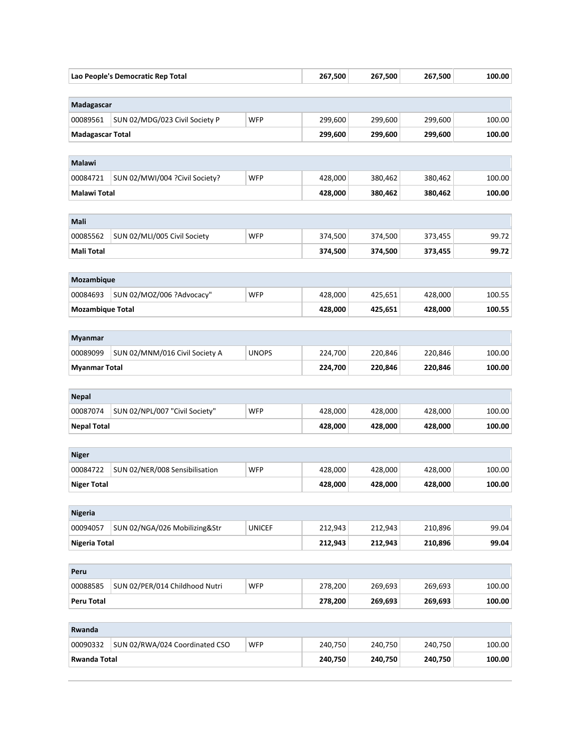| Lao People's Democratic Rep Total                  |                                | 267,500       | 267,500 | 267,500 | 100.00  |        |
|----------------------------------------------------|--------------------------------|---------------|---------|---------|---------|--------|
| Madagascar                                         |                                |               |         |         |         |        |
| 00089561                                           | SUN 02/MDG/023 Civil Society P | <b>WFP</b>    | 299,600 | 299,600 | 299,600 | 100.00 |
| <b>Madagascar Total</b>                            |                                |               | 299,600 | 299,600 | 299,600 | 100.00 |
|                                                    |                                |               |         |         |         |        |
| Malawi                                             |                                |               |         |         |         |        |
| 00084721                                           | SUN 02/MWI/004 ?Civil Society? | <b>WFP</b>    | 428,000 | 380,462 | 380,462 | 100.00 |
| Malawi Total                                       |                                | 428,000       | 380,462 | 380,462 | 100.00  |        |
|                                                    |                                |               |         |         |         |        |
| Mali                                               |                                |               |         |         |         |        |
| 00085562                                           | SUN 02/MLI/005 Civil Society   | <b>WFP</b>    | 374,500 | 374,500 | 373,455 | 99.72  |
| <b>Mali Total</b>                                  |                                |               | 374,500 | 374,500 | 373,455 | 99.72  |
|                                                    |                                |               |         |         |         |        |
| Mozambique                                         |                                |               |         |         |         |        |
| 00084693                                           | SUN 02/MOZ/006 ?Advocacy"      | <b>WFP</b>    | 428,000 | 425,651 | 428,000 | 100.55 |
| <b>Mozambique Total</b>                            |                                |               | 428,000 | 425,651 | 428,000 | 100.55 |
|                                                    |                                |               |         |         |         |        |
| <b>Myanmar</b>                                     |                                |               |         |         |         |        |
| 00089099                                           | SUN 02/MNM/016 Civil Society A | <b>UNOPS</b>  | 224,700 | 220,846 | 220,846 | 100.00 |
| <b>Myanmar Total</b>                               |                                |               | 224,700 | 220,846 | 220,846 | 100.00 |
|                                                    |                                |               |         |         |         |        |
| <b>Nepal</b>                                       |                                |               |         |         |         |        |
| 00087074                                           | SUN 02/NPL/007 "Civil Society" | <b>WFP</b>    | 428,000 | 428,000 | 428,000 | 100.00 |
| <b>Nepal Total</b>                                 |                                |               | 428,000 | 428,000 | 428,000 | 100.00 |
|                                                    |                                |               |         |         |         |        |
| <b>Niger</b>                                       |                                |               |         |         |         |        |
| 00084722                                           | SUN 02/NER/008 Sensibilisation | <b>WFP</b>    | 428,000 | 428,000 | 428,000 | 100.00 |
| <b>Niger Total</b>                                 |                                |               | 428,000 | 428,000 | 428,000 | 100.00 |
|                                                    |                                |               |         |         |         |        |
| <b>Nigeria</b>                                     |                                |               |         |         |         |        |
| 00094057                                           | SUN 02/NGA/026 Mobilizing&Str  | <b>UNICEF</b> | 212,943 | 212,943 | 210,896 | 99.04  |
| <b>Nigeria Total</b>                               |                                |               | 212,943 | 212,943 | 210,896 | 99.04  |
|                                                    |                                |               |         |         |         |        |
| Peru<br>00088585                                   | SUN 02/PER/014 Childhood Nutri | <b>WFP</b>    | 278,200 | 269,693 | 269,693 | 100.00 |
|                                                    |                                |               |         |         |         |        |
| <b>Peru Total</b><br>278,200<br>269,693<br>269,693 |                                |               |         |         | 100.00  |        |
| Rwanda                                             |                                |               |         |         |         |        |
| 00090332                                           | SUN 02/RWA/024 Coordinated CSO | <b>WFP</b>    | 240,750 | 240,750 | 240,750 | 100.00 |
| <b>Rwanda Total</b>                                |                                |               | 240,750 | 240,750 | 240,750 | 100.00 |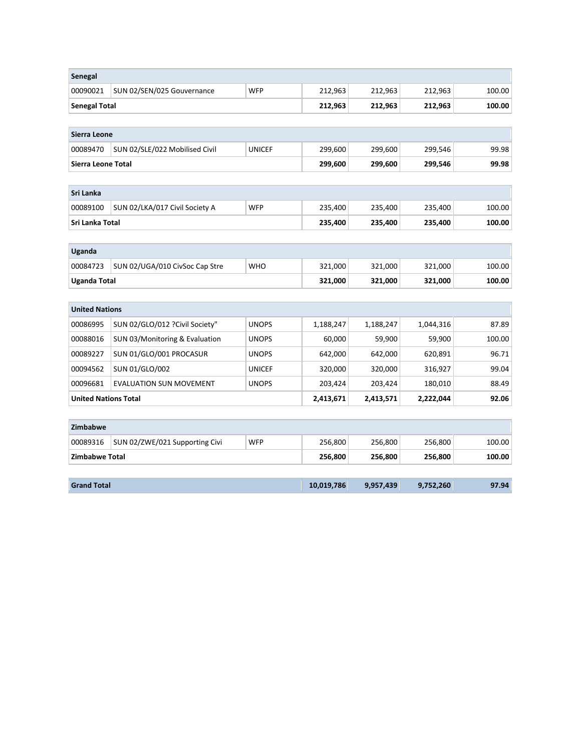| Senegal                     |                                 |               |           |           |           |        |  |
|-----------------------------|---------------------------------|---------------|-----------|-----------|-----------|--------|--|
| 00090021                    | SUN 02/SEN/025 Gouvernance      | <b>WFP</b>    | 212,963   | 212,963   | 212,963   | 100.00 |  |
| <b>Senegal Total</b>        |                                 |               | 212,963   | 212,963   | 212,963   | 100.00 |  |
|                             |                                 |               |           |           |           |        |  |
| Sierra Leone                |                                 |               |           |           |           |        |  |
| 00089470                    | SUN 02/SLE/022 Mobilised Civil  | <b>UNICEF</b> | 299,600   | 299,600   | 299,546   | 99.98  |  |
| Sierra Leone Total          |                                 |               | 299,600   | 299,600   | 299,546   | 99.98  |  |
|                             |                                 |               |           |           |           |        |  |
| Sri Lanka                   |                                 |               |           |           |           |        |  |
| 00089100                    | SUN 02/LKA/017 Civil Society A  | <b>WFP</b>    | 235,400   | 235,400   | 235,400   | 100.00 |  |
| Sri Lanka Total             |                                 |               | 235,400   | 235,400   | 235,400   | 100.00 |  |
|                             |                                 |               |           |           |           |        |  |
| Uganda                      |                                 |               |           |           |           |        |  |
| 00084723                    | SUN 02/UGA/010 CivSoc Cap Stre  | <b>WHO</b>    | 321,000   | 321,000   | 321,000   | 100.00 |  |
| <b>Uganda Total</b>         |                                 | 321,000       | 321,000   | 321,000   | 100.00    |        |  |
|                             |                                 |               |           |           |           |        |  |
| <b>United Nations</b>       |                                 |               |           |           |           |        |  |
| 00086995                    | SUN 02/GLO/012 ? Civil Society" | <b>UNOPS</b>  | 1,188,247 | 1,188,247 | 1,044,316 | 87.89  |  |
| 00088016                    | SUN 03/Monitoring & Evaluation  | <b>UNOPS</b>  | 60,000    | 59,900    | 59,900    | 100.00 |  |
| 00089227                    | SUN 01/GLO/001 PROCASUR         | <b>UNOPS</b>  | 642,000   | 642,000   | 620,891   | 96.71  |  |
| 00094562                    | SUN 01/GLO/002                  | <b>UNICEF</b> | 320,000   | 320,000   | 316,927   | 99.04  |  |
| 00096681                    | <b>EVALUATION SUN MOVEMENT</b>  | <b>UNOPS</b>  | 203,424   | 203,424   | 180,010   | 88.49  |  |
| <b>United Nations Total</b> |                                 |               | 2,413,671 | 2,413,571 | 2,222,044 | 92.06  |  |
|                             |                                 |               |           |           |           |        |  |
| Zimbabwe                    |                                 |               |           |           |           |        |  |
| 00089316                    | SUN 02/ZWE/021 Supporting Civi  | <b>WFP</b>    | 256,800   | 256,800   | 256,800   | 100.00 |  |
| Zimbabwe Total              |                                 |               | 256,800   | 256,800   | 256,800   | 100.00 |  |
|                             |                                 |               |           |           |           |        |  |
| <b>Grand Total</b>          |                                 | 10,019,786    | 9,957,439 | 9,752,260 | 97.94     |        |  |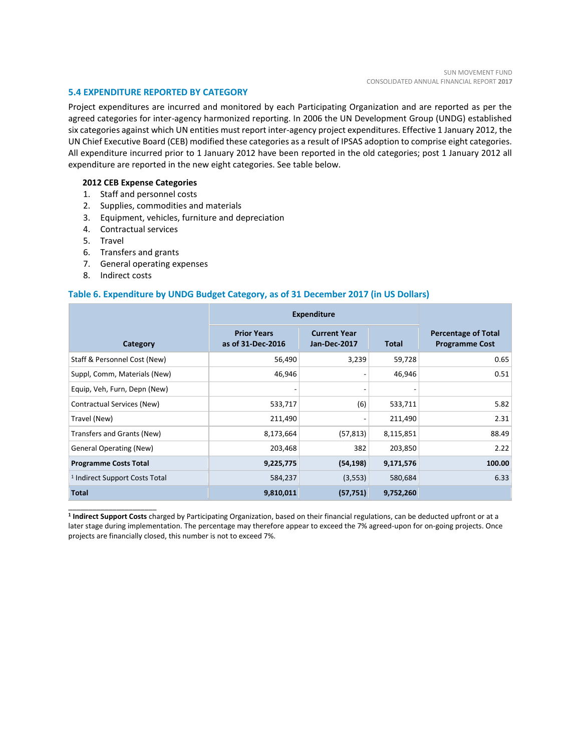#### **5.4 EXPENDITURE REPORTED BY CATEGORY**

Project expenditures are incurred and monitored by each Participating Organization and are reported as per the agreed categories for inter-agency harmonized reporting. In 2006 the UN Development Group (UNDG) established six categories against which UN entities must report inter-agency project expenditures. Effective 1 January 2012, the UN Chief Executive Board (CEB) modified these categories as a result of IPSAS adoption to comprise eight categories. All expenditure incurred prior to 1 January 2012 have been reported in the old categories; post 1 January 2012 all expenditure are reported in the new eight categories. See table below.

#### **2012 CEB Expense Categories**

- 1. Staff and personnel costs
- 2. Supplies, commodities and materials
- 3. Equipment, vehicles, furniture and depreciation
- 4. Contractual services
- 5. Travel
- 6. Transfers and grants
- 7. General operating expenses
- 8. Indirect costs

\_\_\_\_\_\_\_\_\_\_\_\_\_\_\_\_\_\_\_\_\_\_

# **Table 6. Expenditure by UNDG Budget Category, as of 31 December 2017 (in US Dollars)**

|                                           | <b>Expenditure</b>                      |                                     |              |                                                     |
|-------------------------------------------|-----------------------------------------|-------------------------------------|--------------|-----------------------------------------------------|
| Category                                  | <b>Prior Years</b><br>as of 31-Dec-2016 | <b>Current Year</b><br>Jan-Dec-2017 | <b>Total</b> | <b>Percentage of Total</b><br><b>Programme Cost</b> |
| Staff & Personnel Cost (New)              | 56,490                                  | 3,239                               | 59,728       | 0.65                                                |
| Suppl, Comm, Materials (New)              | 46,946                                  |                                     | 46,946       | 0.51                                                |
| Equip, Veh, Furn, Depn (New)              |                                         |                                     |              |                                                     |
| Contractual Services (New)                | 533,717                                 | (6)                                 | 533,711      | 5.82                                                |
| Travel (New)                              | 211,490                                 |                                     | 211,490      | 2.31                                                |
| Transfers and Grants (New)                | 8,173,664                               | (57, 813)                           | 8,115,851    | 88.49                                               |
| <b>General Operating (New)</b>            | 203,468                                 | 382                                 | 203,850      | 2.22                                                |
| <b>Programme Costs Total</b>              | 9,225,775                               | (54, 198)                           | 9,171,576    | 100.00                                              |
| <sup>1</sup> Indirect Support Costs Total | 584,237                                 | (3, 553)                            | 580,684      | 6.33                                                |
| <b>Total</b>                              | 9,810,011                               | (57, 751)                           | 9,752,260    |                                                     |

**1 Indirect Support Costs** charged by Participating Organization, based on their financial regulations, can be deducted upfront or at a later stage during implementation. The percentage may therefore appear to exceed the 7% agreed-upon for on-going projects. Once projects are financially closed, this number is not to exceed 7%.